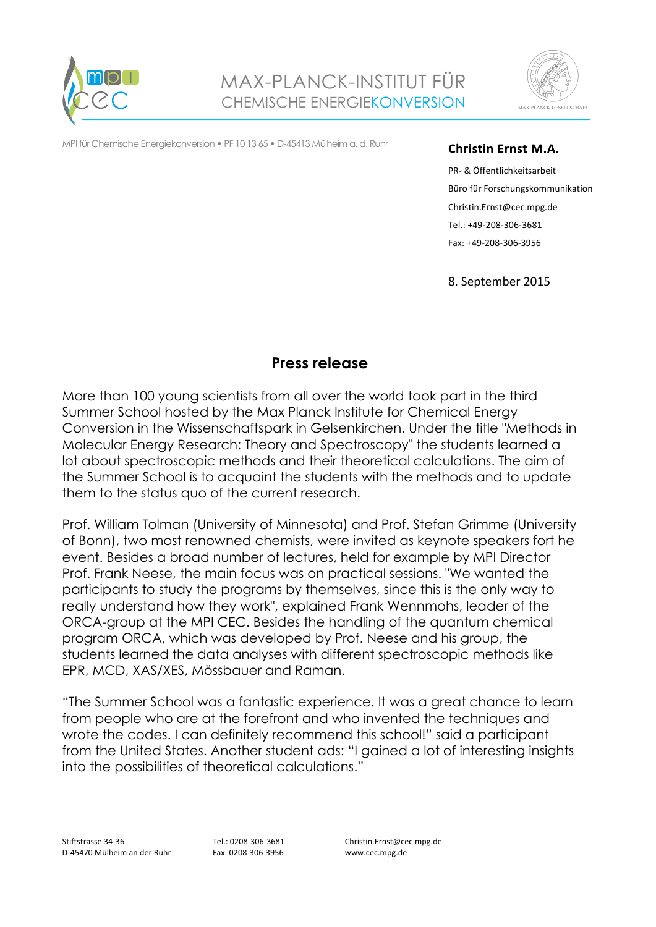



MPI für Chemische Energiekonversion • PF 10 13 65 • D-45413 Mülheim a. d. Ruhr

## **Christin Ernst M.A.**

PR- & Öffentlichkeitsarbeit Büro für Forschungskommunikation Christin.Ernst@cec.mpg.de Tel.: +49-208-306-3681 Fax: +49-208-306-3956

8. September 2015

## **Press release**

More than 100 young scientists from all over the world took part in the third Summer School hosted by the Max Planck Institute for Chemical Energy Conversion in the Wissenschaftspark in Gelsenkirchen. Under the title "Methods in Molecular Energy Research: Theory and Spectroscopy" the students learned a lot about spectroscopic methods and their theoretical calculations. The aim of the Summer School is to acquaint the students with the methods and to update them to the status quo of the current research.

Prof. William Tolman (University of Minnesota) and Prof. Stefan Grimme (University of Bonn), two most renowned chemists, were invited as keynote speakers fort he event. Besides a broad number of lectures, held for example by MPI Director Prof. Frank Neese, the main focus was on practical sessions. "We wanted the participants to study the programs by themselves, since this is the only way to really understand how they work", explained Frank Wennmohs, leader of the ORCA-group at the MPI CEC. Besides the handling of the quantum chemical program ORCA, which was developed by Prof. Neese and his group, the students learned the data analyses with different spectroscopic methods like EPR, MCD, XAS/XES, Mössbauer and Raman.

"The Summer School was a fantastic experience. It was a great chance to learn from people who are at the forefront and who invented the techniques and wrote the codes. I can definitely recommend this school!" said a participant from the United States. Another student ads: "I gained a lot of interesting insights into the possibilities of theoretical calculations."

Tel.: 0208-306-3681 Fax: 0208-306-3956

Christin.Ernst@cec.mpg.de www.cec.mpg.de